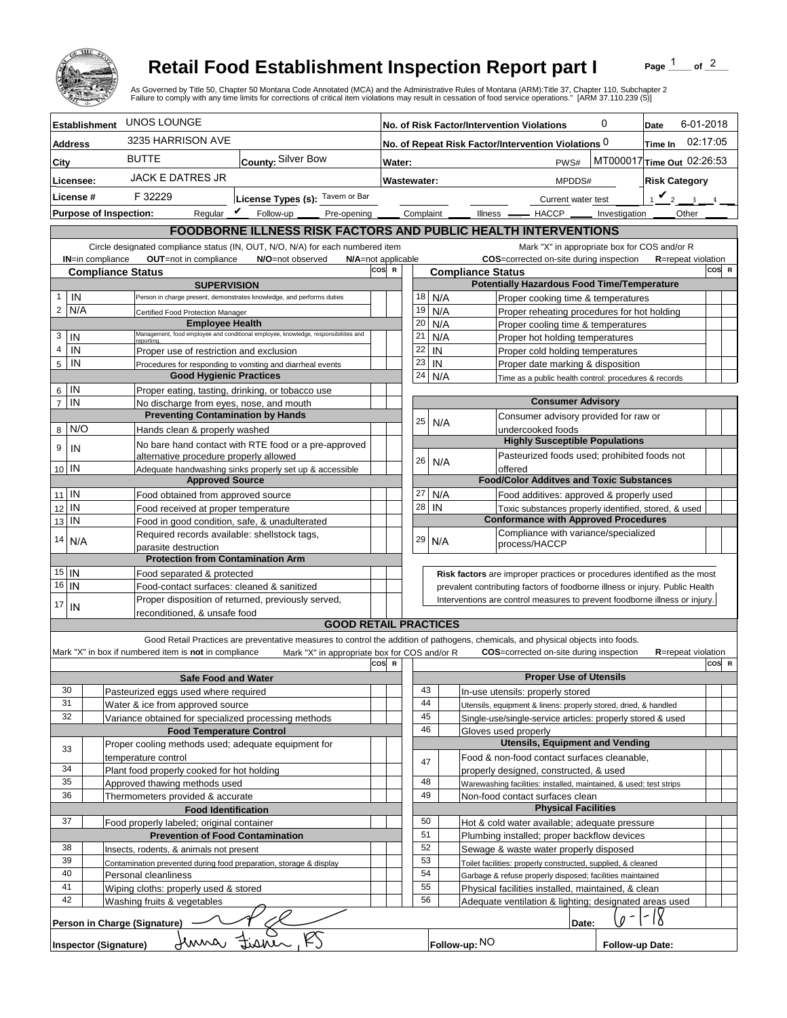

## **Retail Food Establishment Inspection Report part I**

Page  $\frac{1}{1}$  of  $\frac{2}{1}$ 

|                                                |                                                                      |                                                                                        |                                                                                                    |     |                                                                              |                                                                            |                                                                                         | <b>Retail Food Establishment Inspection Report part I</b><br>of $^2$<br>Page<br>As Governed by Title 50, Chapter 50 Montana Code Annotated (MCA) and the Administrative Rules of Montana (ARM):Title 37, Chapter 110, Subchapter 2<br>Failure to comply with any time limits for corrections of critical item violations may result in cessation of food service operations." [ARM 37.110.239 (5)] |  |  |  |
|------------------------------------------------|----------------------------------------------------------------------|----------------------------------------------------------------------------------------|----------------------------------------------------------------------------------------------------|-----|------------------------------------------------------------------------------|----------------------------------------------------------------------------|-----------------------------------------------------------------------------------------|----------------------------------------------------------------------------------------------------------------------------------------------------------------------------------------------------------------------------------------------------------------------------------------------------------------------------------------------------------------------------------------------------|--|--|--|
| <b>Establishment</b>                           |                                                                      | UNOS LOUNGE                                                                            |                                                                                                    |     |                                                                              |                                                                            |                                                                                         | 0<br>6-01-2018<br>No. of Risk Factor/Intervention Violations<br>Date                                                                                                                                                                                                                                                                                                                               |  |  |  |
| <b>Address</b>                                 |                                                                      | 3235 HARRISON AVE                                                                      |                                                                                                    |     | 02:17:05<br>No. of Repeat Risk Factor/Intervention Violations 0<br>Time In   |                                                                            |                                                                                         |                                                                                                                                                                                                                                                                                                                                                                                                    |  |  |  |
|                                                |                                                                      | <b>BUTTE</b>                                                                           | County: Silver Bow                                                                                 |     |                                                                              |                                                                            |                                                                                         | MT000017 Time Out 02:26:53                                                                                                                                                                                                                                                                                                                                                                         |  |  |  |
| <b>City</b>                                    |                                                                      | <b>JACK E DATRES JR</b>                                                                |                                                                                                    |     | Water:                                                                       |                                                                            |                                                                                         | PWS#                                                                                                                                                                                                                                                                                                                                                                                               |  |  |  |
| Licensee:                                      |                                                                      |                                                                                        |                                                                                                    |     | Wastewater:                                                                  |                                                                            |                                                                                         | <b>Risk Category</b><br>MPDDS#                                                                                                                                                                                                                                                                                                                                                                     |  |  |  |
| License #<br>F 32229                           |                                                                      |                                                                                        | License Types (s): Tavern or Bar                                                                   |     |                                                                              |                                                                            |                                                                                         | $\mathbf{v}_2$<br>$\mathbf{R}$<br>Current water test                                                                                                                                                                                                                                                                                                                                               |  |  |  |
| <b>Purpose of Inspection:</b>                  |                                                                      |                                                                                        | Regular $\triangledown$ Follow-up<br>Pre-opening                                                   |     |                                                                              | Complaint                                                                  |                                                                                         | Other<br>Illness <u>- HACCP</u><br>Investigation                                                                                                                                                                                                                                                                                                                                                   |  |  |  |
|                                                |                                                                      |                                                                                        |                                                                                                    |     |                                                                              |                                                                            |                                                                                         | <b>FOODBORNE ILLNESS RISK FACTORS AND PUBLIC HEALTH INTERVENTIONS</b>                                                                                                                                                                                                                                                                                                                              |  |  |  |
| <b>IN=in compliance</b>                        |                                                                      | OUT=not in compliance                                                                  | Circle designated compliance status (IN, OUT, N/O, N/A) for each numbered item<br>N/O=not observed |     |                                                                              |                                                                            | Mark "X" in appropriate box for COS and/or R<br>COS=corrected on-site during inspection |                                                                                                                                                                                                                                                                                                                                                                                                    |  |  |  |
|                                                |                                                                      |                                                                                        | N/A=not applicable                                                                                 | cos | $\mathbb{R}$                                                                 |                                                                            |                                                                                         | <b>R</b> =repeat violation<br>COS R<br><b>Compliance Status</b>                                                                                                                                                                                                                                                                                                                                    |  |  |  |
| <b>Compliance Status</b><br><b>SUPERVISION</b> |                                                                      |                                                                                        |                                                                                                    |     |                                                                              |                                                                            |                                                                                         | <b>Potentially Hazardous Food Time/Temperature</b>                                                                                                                                                                                                                                                                                                                                                 |  |  |  |
| IN<br>$\mathbf{1}$                             |                                                                      |                                                                                        | Person in charge present, demonstrates knowledge, and performs duties                              |     |                                                                              | 18                                                                         |                                                                                         | N/A<br>Proper cooking time & temperatures                                                                                                                                                                                                                                                                                                                                                          |  |  |  |
| $\overline{2}$<br>N/A                          |                                                                      | Certified Food Protection Manager                                                      |                                                                                                    |     |                                                                              | 19                                                                         |                                                                                         | N/A<br>Proper reheating procedures for hot holding                                                                                                                                                                                                                                                                                                                                                 |  |  |  |
| 3<br>IN                                        |                                                                      | <b>Employee Health</b>                                                                 | Management, food employee and conditional employee, knowledge, responsibiliites and                |     |                                                                              | 20<br>21                                                                   |                                                                                         | N/A<br>Proper cooling time & temperatures<br>N/A<br>Proper hot holding temperatures                                                                                                                                                                                                                                                                                                                |  |  |  |
| $\overline{4}$<br>IN                           |                                                                      | reportina.<br>Proper use of restriction and exclusion                                  |                                                                                                    |     |                                                                              | 22                                                                         | IN                                                                                      | Proper cold holding temperatures                                                                                                                                                                                                                                                                                                                                                                   |  |  |  |
| 5<br>IN                                        |                                                                      |                                                                                        | Procedures for responding to vomiting and diarrheal events                                         |     |                                                                              | 23                                                                         | IN                                                                                      | Proper date marking & disposition                                                                                                                                                                                                                                                                                                                                                                  |  |  |  |
|                                                |                                                                      | <b>Good Hygienic Practices</b>                                                         |                                                                                                    |     |                                                                              | 24                                                                         |                                                                                         | N/A<br>Time as a public health control: procedures & records                                                                                                                                                                                                                                                                                                                                       |  |  |  |
| IN<br>6                                        |                                                                      | Proper eating, tasting, drinking, or tobacco use                                       |                                                                                                    |     |                                                                              |                                                                            |                                                                                         |                                                                                                                                                                                                                                                                                                                                                                                                    |  |  |  |
| $\overline{7}$<br>IN                           |                                                                      | No discharge from eyes, nose, and mouth<br><b>Preventing Contamination by Hands</b>    |                                                                                                    |     |                                                                              |                                                                            |                                                                                         | <b>Consumer Advisory</b><br>Consumer advisory provided for raw or                                                                                                                                                                                                                                                                                                                                  |  |  |  |
| N/O<br>8                                       |                                                                      | Hands clean & properly washed                                                          |                                                                                                    |     |                                                                              | 25                                                                         |                                                                                         | N/A<br>undercooked foods                                                                                                                                                                                                                                                                                                                                                                           |  |  |  |
| 9<br>IN                                        |                                                                      |                                                                                        | No bare hand contact with RTE food or a pre-approved                                               |     |                                                                              |                                                                            |                                                                                         | <b>Highly Susceptible Populations</b>                                                                                                                                                                                                                                                                                                                                                              |  |  |  |
|                                                |                                                                      | alternative procedure properly allowed                                                 |                                                                                                    |     |                                                                              | 26                                                                         |                                                                                         | Pasteurized foods used; prohibited foods not<br>N/A                                                                                                                                                                                                                                                                                                                                                |  |  |  |
| 10 IN                                          |                                                                      |                                                                                        | Adequate handwashing sinks properly set up & accessible                                            |     |                                                                              |                                                                            |                                                                                         | offered<br><b>Food/Color Additves and Toxic Substances</b>                                                                                                                                                                                                                                                                                                                                         |  |  |  |
| $11$ IN                                        |                                                                      | <b>Approved Source</b><br>Food obtained from approved source                           |                                                                                                    |     |                                                                              | 27                                                                         |                                                                                         | N/A<br>Food additives: approved & properly used                                                                                                                                                                                                                                                                                                                                                    |  |  |  |
| IN<br>12                                       |                                                                      | Food received at proper temperature                                                    |                                                                                                    |     |                                                                              | 28                                                                         | IN                                                                                      | Toxic substances properly identified, stored, & used                                                                                                                                                                                                                                                                                                                                               |  |  |  |
| IN<br>13                                       |                                                                      | Food in good condition, safe, & unadulterated                                          |                                                                                                    |     |                                                                              |                                                                            |                                                                                         | <b>Conformance with Approved Procedures</b>                                                                                                                                                                                                                                                                                                                                                        |  |  |  |
| 14<br>N/A                                      |                                                                      | Required records available: shellstock tags,                                           |                                                                                                    |     |                                                                              | 29                                                                         |                                                                                         | Compliance with variance/specialized<br>N/A                                                                                                                                                                                                                                                                                                                                                        |  |  |  |
|                                                |                                                                      | parasite destruction                                                                   |                                                                                                    |     |                                                                              |                                                                            |                                                                                         | process/HACCP                                                                                                                                                                                                                                                                                                                                                                                      |  |  |  |
| $15$ IN                                        |                                                                      | <b>Protection from Contamination Arm</b>                                               |                                                                                                    |     |                                                                              |                                                                            |                                                                                         | Risk factors are improper practices or procedures identified as the most                                                                                                                                                                                                                                                                                                                           |  |  |  |
| $16$   IN                                      |                                                                      | Food separated & protected<br>Food-contact surfaces: cleaned & sanitized               |                                                                                                    |     | prevalent contributing factors of foodborne illness or injury. Public Health |                                                                            |                                                                                         |                                                                                                                                                                                                                                                                                                                                                                                                    |  |  |  |
| 17                                             |                                                                      |                                                                                        | Proper disposition of returned, previously served,                                                 |     |                                                                              | Interventions are control measures to prevent foodborne illness or injury. |                                                                                         |                                                                                                                                                                                                                                                                                                                                                                                                    |  |  |  |
| IN                                             |                                                                      | reconditioned. & unsafe food                                                           |                                                                                                    |     |                                                                              |                                                                            |                                                                                         |                                                                                                                                                                                                                                                                                                                                                                                                    |  |  |  |
|                                                |                                                                      |                                                                                        | <b>GOOD RETAIL PRACTICES</b>                                                                       |     |                                                                              |                                                                            |                                                                                         |                                                                                                                                                                                                                                                                                                                                                                                                    |  |  |  |
|                                                |                                                                      |                                                                                        |                                                                                                    |     |                                                                              |                                                                            |                                                                                         | Good Retail Practices are preventative measures to control the addition of pathogens, chemicals, and physical objects into foods.                                                                                                                                                                                                                                                                  |  |  |  |
|                                                |                                                                      | Mark "X" in box if numbered item is not in compliance                                  | Mark "X" in appropriate box for COS and/or R                                                       | cos | $\mathbf R$                                                                  |                                                                            |                                                                                         | <b>COS</b> =corrected on-site during inspection<br><b>R</b> =repeat violation<br>COS R                                                                                                                                                                                                                                                                                                             |  |  |  |
|                                                |                                                                      | <b>Safe Food and Water</b>                                                             |                                                                                                    |     |                                                                              |                                                                            |                                                                                         | <b>Proper Use of Utensils</b>                                                                                                                                                                                                                                                                                                                                                                      |  |  |  |
| 30                                             |                                                                      | Pasteurized eggs used where required                                                   |                                                                                                    |     |                                                                              | 43                                                                         |                                                                                         | In-use utensils: properly stored                                                                                                                                                                                                                                                                                                                                                                   |  |  |  |
| 31                                             |                                                                      | Water & ice from approved source                                                       |                                                                                                    |     |                                                                              | 44                                                                         |                                                                                         | Utensils, equipment & linens: properly stored, dried, & handled                                                                                                                                                                                                                                                                                                                                    |  |  |  |
| 32                                             |                                                                      | Variance obtained for specialized processing methods                                   |                                                                                                    |     |                                                                              | 45<br>46                                                                   |                                                                                         | Single-use/single-service articles: properly stored & used                                                                                                                                                                                                                                                                                                                                         |  |  |  |
|                                                |                                                                      | <b>Food Temperature Control</b><br>Proper cooling methods used; adequate equipment for |                                                                                                    |     |                                                                              |                                                                            |                                                                                         | Gloves used properly<br><b>Utensils, Equipment and Vending</b>                                                                                                                                                                                                                                                                                                                                     |  |  |  |
| 33                                             |                                                                      | temperature control                                                                    |                                                                                                    |     |                                                                              | 47                                                                         |                                                                                         | Food & non-food contact surfaces cleanable,                                                                                                                                                                                                                                                                                                                                                        |  |  |  |
| 34                                             |                                                                      | Plant food properly cooked for hot holding                                             |                                                                                                    |     |                                                                              |                                                                            |                                                                                         | properly designed, constructed, & used                                                                                                                                                                                                                                                                                                                                                             |  |  |  |
| 35                                             |                                                                      | Approved thawing methods used                                                          |                                                                                                    |     |                                                                              | 48                                                                         |                                                                                         | Warewashing facilities: installed, maintained, & used; test strips                                                                                                                                                                                                                                                                                                                                 |  |  |  |
|                                                | 36<br>Thermometers provided & accurate<br><b>Food Identification</b> |                                                                                        |                                                                                                    |     | 49                                                                           |                                                                            | Non-food contact surfaces clean<br><b>Physical Facilities</b>                           |                                                                                                                                                                                                                                                                                                                                                                                                    |  |  |  |
| 37                                             |                                                                      | Food properly labeled; original container                                              |                                                                                                    |     |                                                                              | 50                                                                         |                                                                                         | Hot & cold water available; adequate pressure                                                                                                                                                                                                                                                                                                                                                      |  |  |  |
|                                                |                                                                      | <b>Prevention of Food Contamination</b>                                                |                                                                                                    |     |                                                                              | 51                                                                         |                                                                                         | Plumbing installed; proper backflow devices                                                                                                                                                                                                                                                                                                                                                        |  |  |  |
| 38                                             | Insects, rodents, & animals not present                              |                                                                                        |                                                                                                    |     | 52                                                                           |                                                                            | Sewage & waste water properly disposed                                                  |                                                                                                                                                                                                                                                                                                                                                                                                    |  |  |  |
| 39                                             | Contamination prevented during food preparation, storage & display   |                                                                                        |                                                                                                    |     | 53                                                                           |                                                                            | Toilet facilities: properly constructed, supplied, & cleaned                            |                                                                                                                                                                                                                                                                                                                                                                                                    |  |  |  |
| 40<br>41                                       |                                                                      | Personal cleanliness                                                                   |                                                                                                    |     |                                                                              | 54                                                                         |                                                                                         | Garbage & refuse properly disposed; facilities maintained                                                                                                                                                                                                                                                                                                                                          |  |  |  |
| 42                                             |                                                                      | Wiping cloths: properly used & stored<br>Washing fruits & vegetables                   |                                                                                                    |     |                                                                              | 55<br>56                                                                   |                                                                                         | Physical facilities installed, maintained, & clean<br>Adequate ventilation & lighting; designated areas used                                                                                                                                                                                                                                                                                       |  |  |  |
|                                                |                                                                      |                                                                                        |                                                                                                    |     |                                                                              |                                                                            |                                                                                         |                                                                                                                                                                                                                                                                                                                                                                                                    |  |  |  |
| <b>Inspector (Signature)</b>                   |                                                                      | Person in Charge (Signature)<br>Jenna Fisner                                           |                                                                                                    |     |                                                                              |                                                                            |                                                                                         | Date:<br>Follow-up: NO<br>Follow-up Date:                                                                                                                                                                                                                                                                                                                                                          |  |  |  |